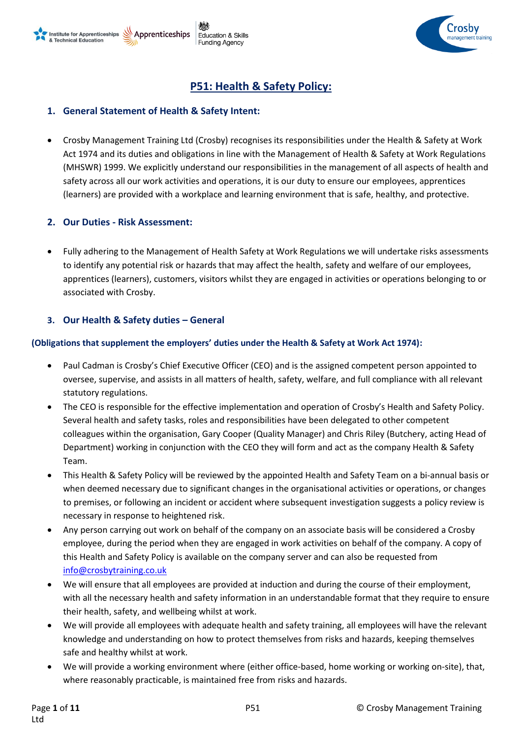

# **P51: Health & Safety Policy:**

## **1. General Statement of Health & Safety Intent:**

• Crosby Management Training Ltd (Crosby) recognises its responsibilities under the Health & Safety at Work Act 1974 and its duties and obligations in line with the Management of Health & Safety at Work Regulations (MHSWR) 1999. We explicitly understand our responsibilities in the management of all aspects of health and safety across all our work activities and operations, it is our duty to ensure our employees, apprentices (learners) are provided with a workplace and learning environment that is safe, healthy, and protective.

## **2. Our Duties - Risk Assessment:**

• Fully adhering to the Management of Health Safety at Work Regulations we will undertake risks assessments to identify any potential risk or hazards that may affect the health, safety and welfare of our employees, apprentices (learners), customers, visitors whilst they are engaged in activities or operations belonging to or associated with Crosby.

## **3. Our Health & Safety duties – General**

### **(Obligations that supplement the employers' duties under the Health & Safety at Work Act 1974):**

- Paul Cadman is Crosby's Chief Executive Officer (CEO) and is the assigned competent person appointed to oversee, supervise, and assists in all matters of health, safety, welfare, and full compliance with all relevant statutory regulations.
- The CEO is responsible for the effective implementation and operation of Crosby's Health and Safety Policy. Several health and safety tasks, roles and responsibilities have been delegated to other competent colleagues within the organisation, Gary Cooper (Quality Manager) and Chris Riley (Butchery, acting Head of Department) working in conjunction with the CEO they will form and act as the company Health & Safety Team.
- This Health & Safety Policy will be reviewed by the appointed Health and Safety Team on a bi-annual basis or when deemed necessary due to significant changes in the organisational activities or operations, or changes to premises, or following an incident or accident where subsequent investigation suggests a policy review is necessary in response to heightened risk.
- Any person carrying out work on behalf of the company on an associate basis will be considered a Crosby employee, during the period when they are engaged in work activities on behalf of the company. A copy of this Health and Safety Policy is available on the company server and can also be requested from [info@crosbytraining.co.uk](mailto:info@crosbytraining.co.uk)
- We will ensure that all employees are provided at induction and during the course of their employment, with all the necessary health and safety information in an understandable format that they require to ensure their health, safety, and wellbeing whilst at work.
- We will provide all employees with adequate health and safety training, all employees will have the relevant knowledge and understanding on how to protect themselves from risks and hazards, keeping themselves safe and healthy whilst at work.
- We will provide a working environment where (either office-based, home working or working on-site), that, where reasonably practicable, is maintained free from risks and hazards.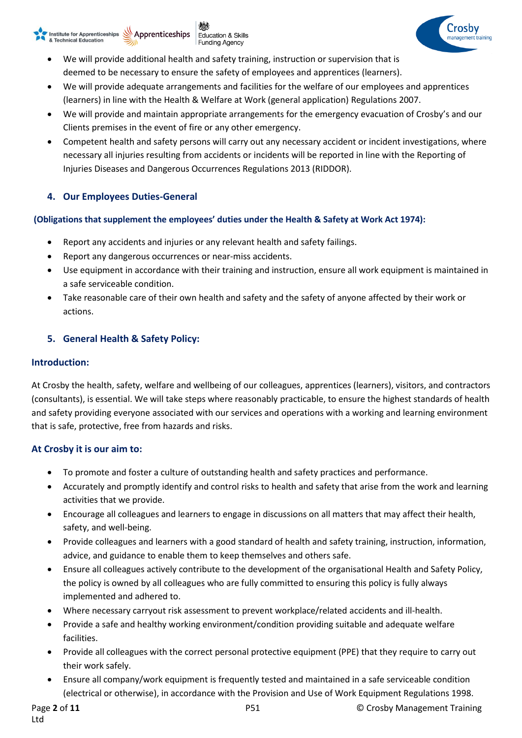



- We will provide additional health and safety training, instruction or supervision that is deemed to be necessary to ensure the safety of employees and apprentices (learners).
- We will provide adequate arrangements and facilities for the welfare of our employees and apprentices (learners) in line with the Health & Welfare at Work (general application) Regulations 2007.
- We will provide and maintain appropriate arrangements for the emergency evacuation of Crosby's and our Clients premises in the event of fire or any other emergency.
- Competent health and safety persons will carry out any necessary accident or incident investigations, where necessary all injuries resulting from accidents or incidents will be reported in line with the Reporting of Injuries Diseases and Dangerous Occurrences Regulations 2013 (RIDDOR).

## **4. Our Employees Duties-General**

## **(Obligations that supplement the employees' duties under the Health & Safety at Work Act 1974):**

- Report any accidents and injuries or any relevant health and safety failings.
- Report any dangerous occurrences or near-miss accidents.
- Use equipment in accordance with their training and instruction, ensure all work equipment is maintained in a safe serviceable condition.
- Take reasonable care of their own health and safety and the safety of anyone affected by their work or actions.

## **5. General Health & Safety Policy:**

## **Introduction:**

At Crosby the health, safety, welfare and wellbeing of our colleagues, apprentices (learners), visitors, and contractors (consultants), is essential. We will take steps where reasonably practicable, to ensure the highest standards of health and safety providing everyone associated with our services and operations with a working and learning environment that is safe, protective, free from hazards and risks.

## **At Crosby it is our aim to:**

- To promote and foster a culture of outstanding health and safety practices and performance.
- Accurately and promptly identify and control risks to health and safety that arise from the work and learning activities that we provide.
- Encourage all colleagues and learners to engage in discussions on all matters that may affect their health, safety, and well-being.
- Provide colleagues and learners with a good standard of health and safety training, instruction, information, advice, and guidance to enable them to keep themselves and others safe.
- Ensure all colleagues actively contribute to the development of the organisational Health and Safety Policy, the policy is owned by all colleagues who are fully committed to ensuring this policy is fully always implemented and adhered to.
- Where necessary carryout risk assessment to prevent workplace/related accidents and ill-health.
- Provide a safe and healthy working environment/condition providing suitable and adequate welfare facilities.
- Provide all colleagues with the correct personal protective equipment (PPE) that they require to carry out their work safely.
- Ensure all company/work equipment is frequently tested and maintained in a safe serviceable condition (electrical or otherwise), in accordance with the Provision and Use of Work Equipment Regulations 1998.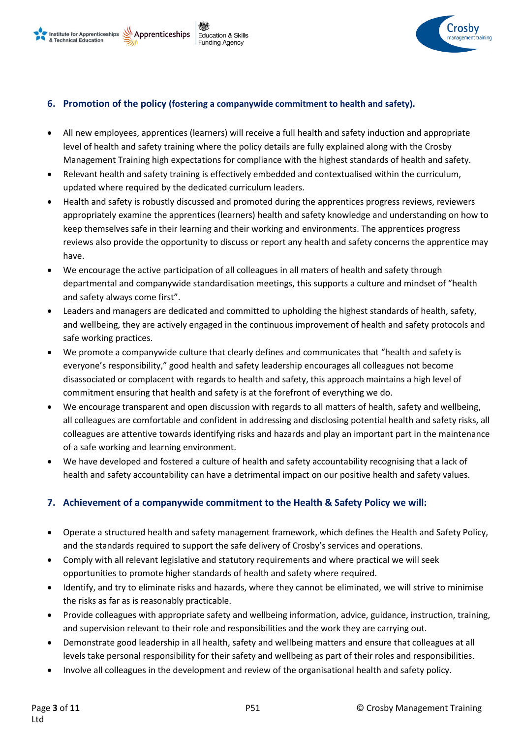



## **6. Promotion of the policy (fostering a companywide commitment to health and safety).**

- All new employees, apprentices (learners) will receive a full health and safety induction and appropriate level of health and safety training where the policy details are fully explained along with the Crosby Management Training high expectations for compliance with the highest standards of health and safety.
- Relevant health and safety training is effectively embedded and contextualised within the curriculum, updated where required by the dedicated curriculum leaders.
- Health and safety is robustly discussed and promoted during the apprentices progress reviews, reviewers appropriately examine the apprentices (learners) health and safety knowledge and understanding on how to keep themselves safe in their learning and their working and environments. The apprentices progress reviews also provide the opportunity to discuss or report any health and safety concerns the apprentice may have.
- We encourage the active participation of all colleagues in all maters of health and safety through departmental and companywide standardisation meetings, this supports a culture and mindset of "health and safety always come first".
- Leaders and managers are dedicated and committed to upholding the highest standards of health, safety, and wellbeing, they are actively engaged in the continuous improvement of health and safety protocols and safe working practices.
- We promote a companywide culture that clearly defines and communicates that "health and safety is everyone's responsibility," good health and safety leadership encourages all colleagues not become disassociated or complacent with regards to health and safety, this approach maintains a high level of commitment ensuring that health and safety is at the forefront of everything we do.
- We encourage transparent and open discussion with regards to all matters of health, safety and wellbeing, all colleagues are comfortable and confident in addressing and disclosing potential health and safety risks, all colleagues are attentive towards identifying risks and hazards and play an important part in the maintenance of a safe working and learning environment.
- We have developed and fostered a culture of health and safety accountability recognising that a lack of health and safety accountability can have a detrimental impact on our positive health and safety values.

### **7. Achievement of a companywide commitment to the Health & Safety Policy we will:**

- Operate a structured health and safety management framework, which defines the Health and Safety Policy, and the standards required to support the safe delivery of Crosby's services and operations.
- Comply with all relevant legislative and statutory requirements and where practical we will seek opportunities to promote higher standards of health and safety where required.
- Identify, and try to eliminate risks and hazards, where they cannot be eliminated, we will strive to minimise the risks as far as is reasonably practicable.
- Provide colleagues with appropriate safety and wellbeing information, advice, guidance, instruction, training, and supervision relevant to their role and responsibilities and the work they are carrying out.
- Demonstrate good leadership in all health, safety and wellbeing matters and ensure that colleagues at all levels take personal responsibility for their safety and wellbeing as part of their roles and responsibilities.
- Involve all colleagues in the development and review of the organisational health and safety policy.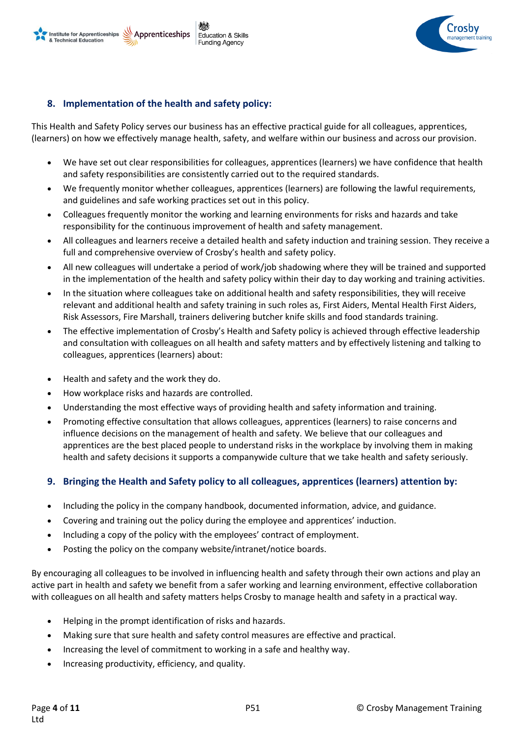

## **8. Implementation of the health and safety policy:**

This Health and Safety Policy serves our business has an effective practical guide for all colleagues, apprentices, (learners) on how we effectively manage health, safety, and welfare within our business and across our provision.

- We have set out clear responsibilities for colleagues, apprentices (learners) we have confidence that health and safety responsibilities are consistently carried out to the required standards.
- We frequently monitor whether colleagues, apprentices (learners) are following the lawful requirements, and guidelines and safe working practices set out in this policy.
- Colleagues frequently monitor the working and learning environments for risks and hazards and take responsibility for the continuous improvement of health and safety management.
- All colleagues and learners receive a detailed health and safety induction and training session. They receive a full and comprehensive overview of Crosby's health and safety policy.
- All new colleagues will undertake a period of work/job shadowing where they will be trained and supported in the implementation of the health and safety policy within their day to day working and training activities.
- In the situation where colleagues take on additional health and safety responsibilities, they will receive relevant and additional health and safety training in such roles as, First Aiders, Mental Health First Aiders, Risk Assessors, Fire Marshall, trainers delivering butcher knife skills and food standards training.
- The effective implementation of Crosby's Health and Safety policy is achieved through effective leadership and consultation with colleagues on all health and safety matters and by effectively listening and talking to colleagues, apprentices (learners) about:
- Health and safety and the work they do.
- How workplace risks and hazards are controlled.
- Understanding the most effective ways of providing health and safety information and training.
- Promoting effective consultation that allows colleagues, apprentices (learners) to raise concerns and influence decisions on the management of health and safety. We believe that our colleagues and apprentices are the best placed people to understand risks in the workplace by involving them in making health and safety decisions it supports a companywide culture that we take health and safety seriously.

## **9. Bringing the Health and Safety policy to all colleagues, apprentices (learners) attention by:**

- Including the policy in the company handbook, documented information, advice, and guidance.
- Covering and training out the policy during the employee and apprentices' induction.
- Including a copy of the policy with the employees' contract of employment.
- Posting the policy on the company website/intranet/notice boards.

By encouraging all colleagues to be involved in influencing health and safety through their own actions and play an active part in health and safety we benefit from a safer working and learning environment, effective collaboration with colleagues on all health and safety matters helps Crosby to manage health and safety in a practical way.

- Helping in the prompt identification of risks and hazards.
- Making sure that sure health and safety control measures are effective and practical.
- Increasing the level of commitment to working in a safe and healthy way.
- Increasing productivity, efficiency, and quality.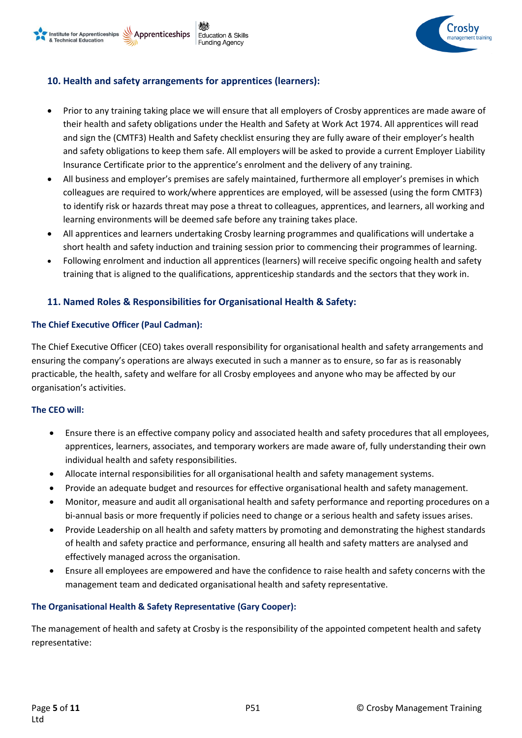

## **10. Health and safety arrangements for apprentices (learners):**

- Prior to any training taking place we will ensure that all employers of Crosby apprentices are made aware of their health and safety obligations under the Health and Safety at Work Act 1974. All apprentices will read and sign the (CMTF3) Health and Safety checklist ensuring they are fully aware of their employer's health and safety obligations to keep them safe. All employers will be asked to provide a current Employer Liability Insurance Certificate prior to the apprentice's enrolment and the delivery of any training.
- All business and employer's premises are safely maintained, furthermore all employer's premises in which colleagues are required to work/where apprentices are employed, will be assessed (using the form CMTF3) to identify risk or hazards threat may pose a threat to colleagues, apprentices, and learners, all working and learning environments will be deemed safe before any training takes place.
- All apprentices and learners undertaking Crosby learning programmes and qualifications will undertake a short health and safety induction and training session prior to commencing their programmes of learning.
- Following enrolment and induction all apprentices (learners) will receive specific ongoing health and safety training that is aligned to the qualifications, apprenticeship standards and the sectors that they work in.

## **11. Named Roles & Responsibilities for Organisational Health & Safety:**

#### **The Chief Executive Officer (Paul Cadman):**

The Chief Executive Officer (CEO) takes overall responsibility for organisational health and safety arrangements and ensuring the company's operations are always executed in such a manner as to ensure, so far as is reasonably practicable, the health, safety and welfare for all Crosby employees and anyone who may be affected by our organisation's activities.

#### **The CEO will:**

- Ensure there is an effective company policy and associated health and safety procedures that all employees, apprentices, learners, associates, and temporary workers are made aware of, fully understanding their own individual health and safety responsibilities.
- Allocate internal responsibilities for all organisational health and safety management systems.
- Provide an adequate budget and resources for effective organisational health and safety management.
- Monitor, measure and audit all organisational health and safety performance and reporting procedures on a bi-annual basis or more frequently if policies need to change or a serious health and safety issues arises.
- Provide Leadership on all health and safety matters by promoting and demonstrating the highest standards of health and safety practice and performance, ensuring all health and safety matters are analysed and effectively managed across the organisation.
- Ensure all employees are empowered and have the confidence to raise health and safety concerns with the management team and dedicated organisational health and safety representative.

### **The Organisational Health & Safety Representative (Gary Cooper):**

The management of health and safety at Crosby is the responsibility of the appointed competent health and safety representative: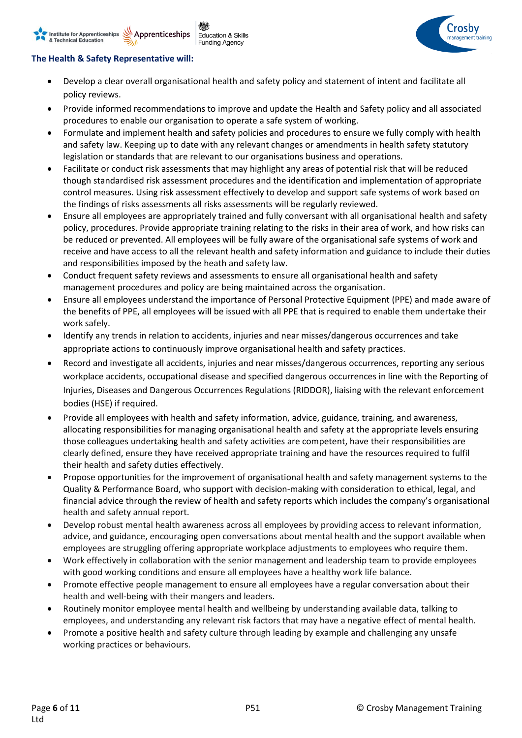## **The Health & Safety Representative will:**

Apprenticeships

Institute for Apprenticeships

& Technical Education

• Develop a clear overall organisational health and safety policy and statement of intent and facilitate all policy reviews.

**Education & Skills** 

**Funding Agency** 

- Provide informed recommendations to improve and update the Health and Safety policy and all associated procedures to enable our organisation to operate a safe system of working.
- Formulate and implement health and safety policies and procedures to ensure we fully comply with health and safety law. Keeping up to date with any relevant changes or amendments in health safety statutory legislation or standards that are relevant to our organisations business and operations.
- Facilitate or conduct risk assessments that may highlight any areas of potential risk that will be reduced though standardised risk assessment procedures and the identification and implementation of appropriate control measures. Using risk assessment effectively to develop and support safe systems of work based on the findings of risks assessments all risks assessments will be regularly reviewed.
- Ensure all employees are appropriately trained and fully conversant with all organisational health and safety policy, procedures. Provide appropriate training relating to the risks in their area of work, and how risks can be reduced or prevented. All employees will be fully aware of the organisational safe systems of work and receive and have access to all the relevant health and safety information and guidance to include their duties and responsibilities imposed by the heath and safety law.
- Conduct frequent safety reviews and assessments to ensure all organisational health and safety management procedures and policy are being maintained across the organisation.
- Ensure all employees understand the importance of [Personal Protective Equipment](https://www.highspeedtraining.co.uk/health-and-safety/personal-protective-equipment-training.aspx) (PPE) and made aware of the benefits of PPE, all employees will be issued with all PPE that is required to enable them undertake their work safely.
- Identify any trends in relation to accidents, injuries and near misses/dangerous occurrences and take appropriate actions to continuously improve organisational health and safety practices.
- Record and investigate all accidents, injuries and near misses/dangerous occurrences, reporting any serious workplace accidents, occupational disease and specified dangerous occurrences in line with the Reporting of Injuries, Diseases and Dangerous Occurrences Regulations (RIDDOR), liaising with the relevant enforcement bodies (HSE) if required.
- Provide all employees with health and safety information, advice, guidance, training, and awareness, allocating responsibilities for managing organisational health and safety at the appropriate levels ensuring those colleagues undertaking health and safety activities are competent, have their responsibilities are clearly defined, ensure they have received appropriate training and have the resources required to fulfil their health and safety duties effectively.
- Propose opportunities for the improvement of organisational health and safety management systems to the Quality & Performance Board, who support with decision-making with consideration to ethical, legal, and financial advice through the review of health and safety reports which includes the company's organisational health and safety annual report.
- Develop robust mental health awareness across all employees by providing access to relevant information, advice, and guidance, encouraging open conversations about mental health and the support available when employees are struggling offering appropriate workplace adjustments to employees who require them.
- Work effectively in collaboration with the senior management and leadership team to provide employees with good working conditions and ensure all employees have a healthy work life balance.
- Promote effective people management to ensure all employees have a regular conversation about their health and well-being with their mangers and leaders.
- Routinely monitor employee mental health and wellbeing by understanding available data, talking to employees, and understanding any relevant risk factors that may have a negative effect of mental health.
- Promote a positive health and safety culture through leading by example and challenging any unsafe working practices or behaviours.

Crosbv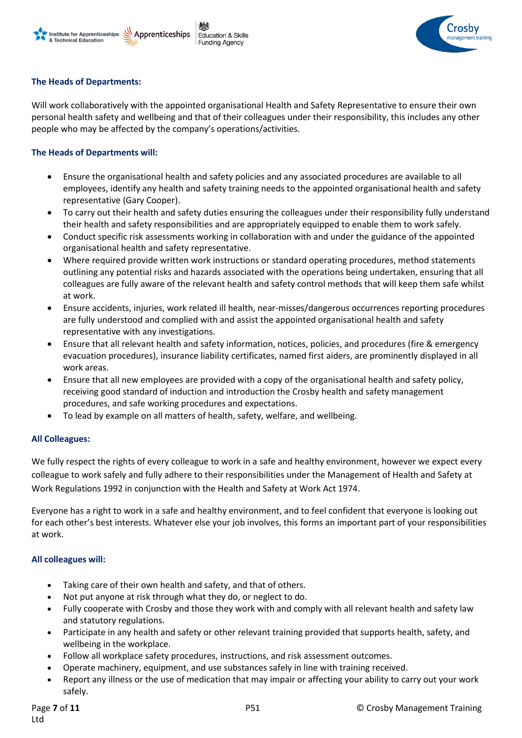



#### **The Heads of Departments:**

Will work collaboratively with the appointed organisational Health and Safety Representative to ensure their own personal health safety and wellbeing and that of their colleagues under their responsibility, this includes any other people who may be affected by the company's operations/activities.

#### **The Heads of Departments will:**

- Ensure the organisational health and safety policies and any associated procedures are available to all employees, identify any health and safety training needs to the appointed organisational health and safety representative (Gary Cooper).
- To carry out their health and safety duties ensuring the colleagues under their responsibility fully understand their health and safety responsibilities and are appropriately equipped to enable them to work safely.
- Conduct specific risk assessments working in collaboration with and under the guidance of the appointed organisational health and safety representative.
- Where required provide written work instructions or standard operating procedures, method statements outlining any potential risks and hazards associated with the operations being undertaken, ensuring that all colleagues are fully aware of the relevant health and safety control methods that will keep them safe whilst at work.
- Ensure accidents, injuries, work related ill health, near-misses/dangerous occurrences reporting procedures are fully understood and complied with and assist the appointed organisational health and safety representative with any investigations.
- Ensure that all relevant health and safety information, notices, policies, and procedures (fire & emergency evacuation procedures), insurance liability certificates, named first aiders, are prominently displayed in all work areas.
- Ensure that all new employees are provided with a copy of the organisational health and safety policy, receiving good standard of induction and introduction the Crosby health and safety management procedures, and safe working procedures and expectations.
- To lead by example on all matters of health, safety, welfare, and wellbeing.

#### **All Colleagues:**

We fully respect the rights of every colleague to work in a safe and healthy environment, however we expect every colleague to work safely and fully adhere to their responsibilities under the Management of Health and Safety at Work Regulations 1992 in conjunction with the Health and Safety at Work Act 1974.

Everyone has a right to work in a safe and healthy environment, and to feel confident that everyone is looking out for each other's best interests. Whatever else your job involves, this forms an important part of your responsibilities at work.

#### **All colleagues will:**

- Taking care of their own health and safety, and that of others.
- Not put anyone at risk through what they do, or neglect to do.
- Fully cooperate with Crosby and those they work with and comply with all relevant health and safety law and statutory regulations.
- Participate in any health and safety or other relevant training provided that supports health, safety, and wellbeing in the workplace.
- Follow all workplace safety procedures, instructions, and risk assessment outcomes.
- Operate machinery, equipment, and use substances safely in line with training received.
- Report any illness or the use of medication that may impair or affecting your ability to carry out your work safely.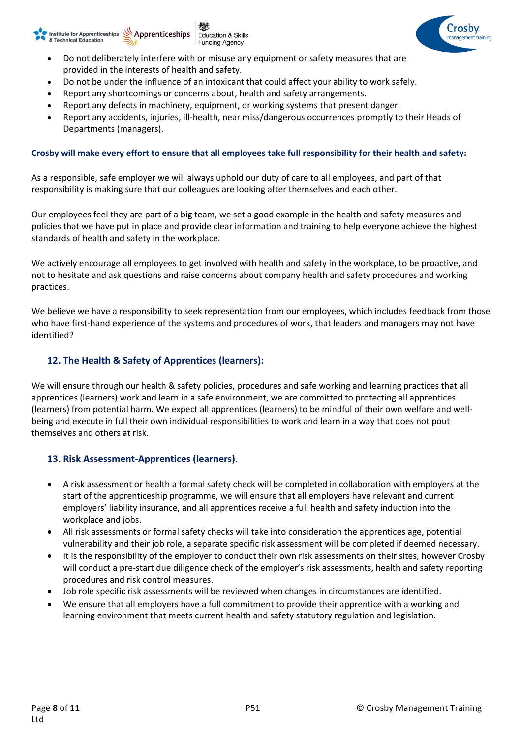#### Apprenticeships Apprenticeships **Education & Skills** & Technical Education **Funding Agency**



- Do not be under the influence of an intoxicant that could affect your ability to work safely.
- Report any shortcomings or concerns about, health and safety arrangements.
- Report any defects in machinery, equipment, or working systems that present danger.
- Report any accidents, injuries, ill-health, near miss/dangerous occurrences promptly to their Heads of Departments (managers).

#### **Crosby will make every effort to ensure that all employees take full responsibility for their health and safety:**

As a responsible, safe employer we will always uphold our duty of care to all employees, and part of that responsibility is making sure that our colleagues are looking after themselves and each other.

Our employees feel they are part of a big team, we set a good example in the health and safety measures and policies that we have put in place and provide clear information and training to help everyone achieve the highest standards of health and safety in the workplace.

We actively encourage all employees to get involved with health and safety in the workplace, to be proactive, and not to hesitate and ask questions and raise concerns about company health and safety procedures and working practices.

We believe we have a responsibility to seek representation from our employees, which includes feedback from those who have first-hand experience of the systems and procedures of work, that leaders and managers may not have identified?

## **12. The Health & Safety of Apprentices (learners):**

We will ensure through our health & safety policies, procedures and safe working and learning practices that all apprentices (learners) work and learn in a safe environment, we are committed to protecting all apprentices (learners) from potential harm. We expect all apprentices (learners) to be mindful of their own welfare and wellbeing and execute in full their own individual responsibilities to work and learn in a way that does not pout themselves and others at risk.

### **13. Risk Assessment-Apprentices (learners).**

- A risk assessment or health a formal safety check will be completed in collaboration with employers at the start of the apprenticeship programme, we will ensure that all employers have relevant and current employers' liability insurance, and all apprentices receive a full health and safety induction into the workplace and jobs.
- All risk assessments or formal safety checks will take into consideration the apprentices age, potential vulnerability and their job role, a separate specific risk assessment will be completed if deemed necessary.
- It is the responsibility of the employer to conduct their own risk assessments on their sites, however Crosby will conduct a pre-start due diligence check of the employer's risk assessments, health and safety reporting procedures and risk control measures.
- Job role specific risk assessments will be reviewed when changes in circumstances are identified.
- We ensure that all employers have a full commitment to provide their apprentice with a working and learning environment that meets current health and safety statutory regulation and legislation.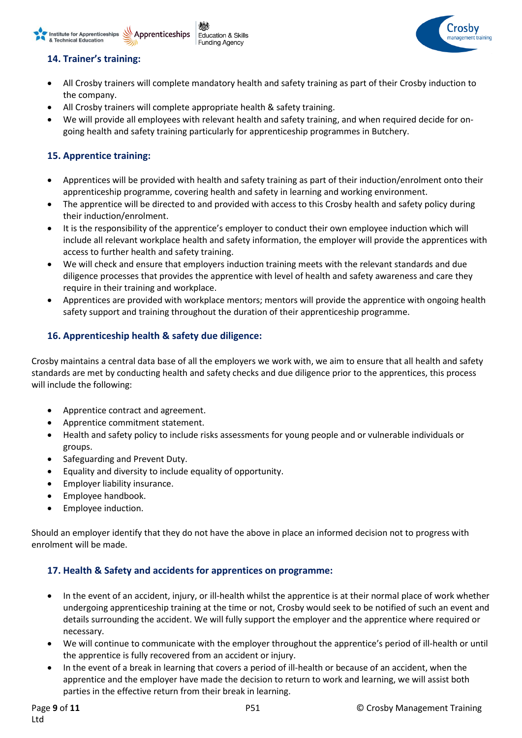# **14. Trainer's training:**

Institute for Apprenticeships

& Technical Education

- All Crosby trainers will complete mandatory health and safety training as part of their Crosby induction to the company.
- All Crosby trainers will complete appropriate health & safety training.

**Education & Skills** 

**Funding Agency** 

Apprenticeships

• We will provide all employees with relevant health and safety training, and when required decide for ongoing health and safety training particularly for apprenticeship programmes in Butchery.

## **15. Apprentice training:**

- Apprentices will be provided with health and safety training as part of their induction/enrolment onto their apprenticeship programme, covering health and safety in learning and working environment.
- The apprentice will be directed to and provided with access to this Crosby health and safety policy during their induction/enrolment.
- It is the responsibility of the apprentice's employer to conduct their own employee induction which will include all relevant workplace health and safety information, the employer will provide the apprentices with access to further health and safety training.
- We will check and ensure that employers induction training meets with the relevant standards and due diligence processes that provides the apprentice with level of health and safety awareness and care they require in their training and workplace.
- Apprentices are provided with workplace mentors; mentors will provide the apprentice with ongoing health safety support and training throughout the duration of their apprenticeship programme.

## **16. Apprenticeship health & safety due diligence:**

Crosby maintains a central data base of all the employers we work with, we aim to ensure that all health and safety standards are met by conducting health and safety checks and due diligence prior to the apprentices, this process will include the following:

- Apprentice contract and agreement.
- Apprentice commitment statement.
- Health and safety policy to include risks assessments for young people and or vulnerable individuals or groups.
- Safeguarding and Prevent Duty.
- Equality and diversity to include equality of opportunity.
- Employer liability insurance.
- Employee handbook.
- Employee induction.

Should an employer identify that they do not have the above in place an informed decision not to progress with enrolment will be made.

### **17. Health & Safety and accidents for apprentices on programme:**

- In the event of an accident, injury, or ill-health whilst the apprentice is at their normal place of work whether undergoing apprenticeship training at the time or not, Crosby would seek to be notified of such an event and details surrounding the accident. We will fully support the employer and the apprentice where required or necessary.
- We will continue to communicate with the employer throughout the apprentice's period of ill-health or until the apprentice is fully recovered from an accident or injury.
- In the event of a break in learning that covers a period of ill-health or because of an accident, when the apprentice and the employer have made the decision to return to work and learning, we will assist both parties in the effective return from their break in learning.

`roshv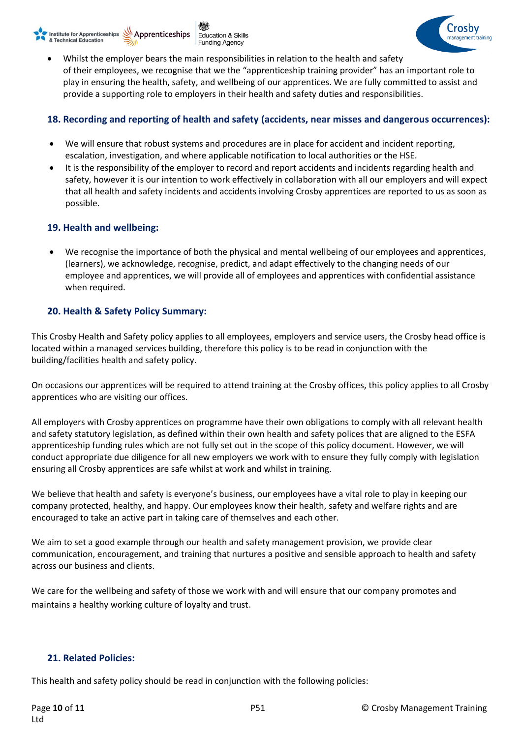



• Whilst the employer bears the main responsibilities in relation to the health and safety of their employees, we recognise that we the "apprenticeship training provider" has an important role to play in ensuring the health, safety, and wellbeing of our apprentices. We are fully committed to assist and provide a supporting role to employers in their health and safety duties and responsibilities.

## **18. Recording and reporting of health and safety (accidents, near misses and dangerous occurrences):**

- We will ensure that robust systems and procedures are in place for accident and incident reporting, escalation, investigation, and where applicable notification to local authorities or the HSE.
- It is the responsibility of the employer to record and report accidents and incidents regarding health and safety, however it is our intention to work effectively in collaboration with all our employers and will expect that all health and safety incidents and accidents involving Crosby apprentices are reported to us as soon as possible.

### **19. Health and wellbeing:**

• We recognise the importance of both the physical and mental wellbeing of our employees and apprentices, (learners), we acknowledge, recognise, predict, and adapt effectively to the changing needs of our employee and apprentices, we will provide all of employees and apprentices with confidential assistance when required.

### **20. Health & Safety Policy Summary:**

This Crosby Health and Safety policy applies to all employees, employers and service users, the Crosby head office is located within a managed services building, therefore this policy is to be read in conjunction with the building/facilities health and safety policy.

On occasions our apprentices will be required to attend training at the Crosby offices, this policy applies to all Crosby apprentices who are visiting our offices.

All employers with Crosby apprentices on programme have their own obligations to comply with all relevant health and safety statutory legislation, as defined within their own health and safety polices that are aligned to the ESFA apprenticeship funding rules which are not fully set out in the scope of this policy document. However, we will conduct appropriate due diligence for all new employers we work with to ensure they fully comply with legislation ensuring all Crosby apprentices are safe whilst at work and whilst in training.

We believe that health and safety is everyone's business, our employees have a vital role to play in keeping our company protected, healthy, and happy. Our employees know their health, safety and welfare rights and are encouraged to take an active part in taking care of themselves and each other.

We aim to set a good example through our health and safety management provision, we provide clear communication, encouragement, and [training](https://prosafetyuk.wpengine.com/online-courses/) that nurtures a positive and sensible approach to health and safety across our business and clients.

We care for the wellbeing and safety of those we work with and will ensure that our company promotes and maintains a healthy working culture of loyalty and trust.

#### **21. Related Policies:**

This health and safety policy should be read in conjunction with the following policies: